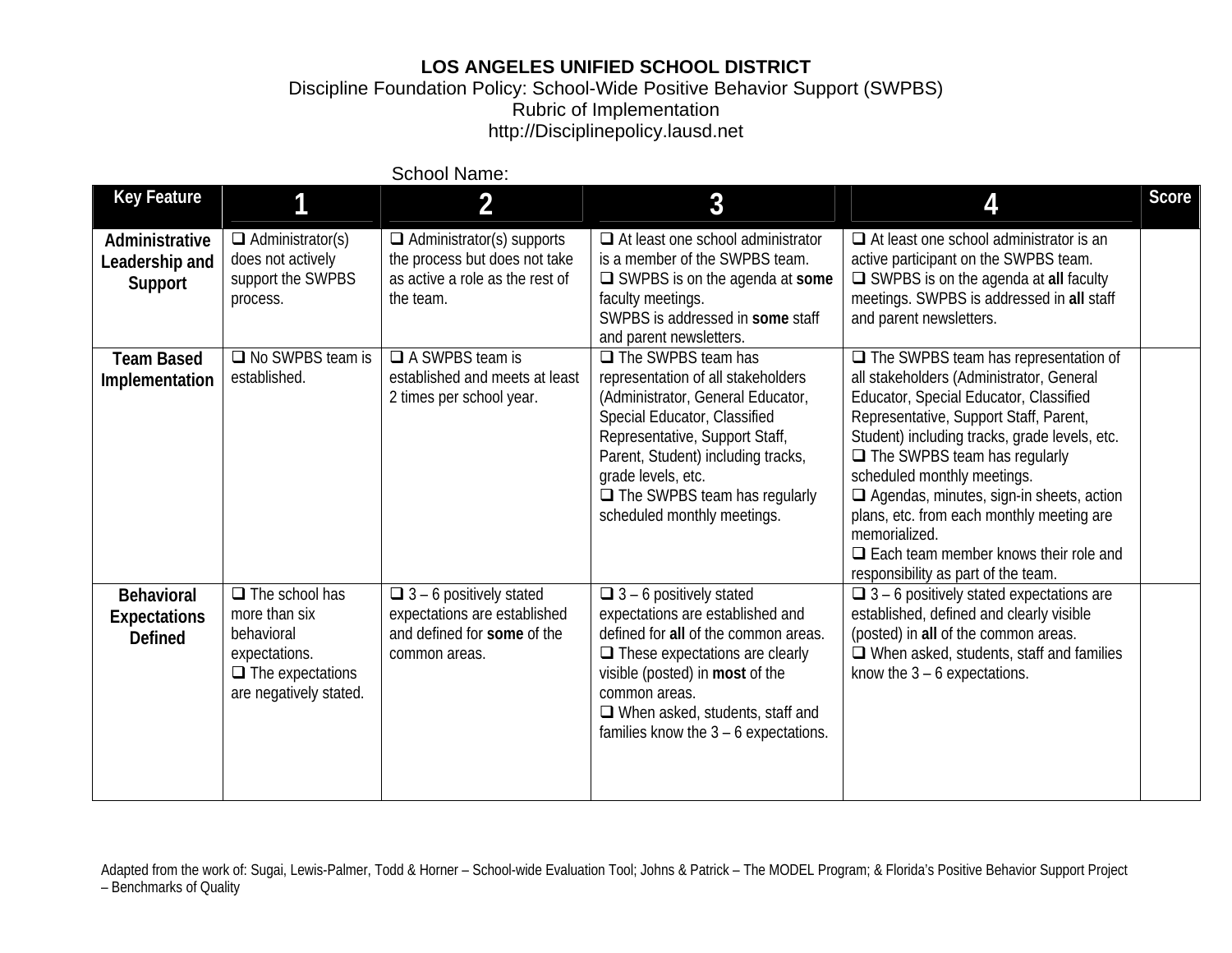## **LOS ANGELES UNIFIED SCHOOL DISTRICT**

Discipline Foundation Policy: School-Wide Positive Behavior Support (SWPBS) Rubric of Implementation http://Disciplinepolicy.lausd.net

|                                                            |                                                                                                                            | <b>School Name:</b>                                                                                               |                                                                                                                                                                                                                                                                                                          |                                                                                                                                                                                                                                                                                                                                                                                                                                                                                                            |              |
|------------------------------------------------------------|----------------------------------------------------------------------------------------------------------------------------|-------------------------------------------------------------------------------------------------------------------|----------------------------------------------------------------------------------------------------------------------------------------------------------------------------------------------------------------------------------------------------------------------------------------------------------|------------------------------------------------------------------------------------------------------------------------------------------------------------------------------------------------------------------------------------------------------------------------------------------------------------------------------------------------------------------------------------------------------------------------------------------------------------------------------------------------------------|--------------|
| <b>Key Feature</b>                                         | 1                                                                                                                          | 2                                                                                                                 | 3                                                                                                                                                                                                                                                                                                        | 4                                                                                                                                                                                                                                                                                                                                                                                                                                                                                                          | <b>Score</b> |
| Administrative<br>Leadership and<br>Support                | $\Box$ Administrator(s)<br>does not actively<br>support the SWPBS<br>process.                                              | $\Box$ Administrator(s) supports<br>the process but does not take<br>as active a role as the rest of<br>the team. | $\Box$ At least one school administrator<br>is a member of the SWPBS team.<br>$\Box$ SWPBS is on the agenda at some<br>faculty meetings.<br>SWPBS is addressed in some staff<br>and parent newsletters.                                                                                                  | $\Box$ At least one school administrator is an<br>active participant on the SWPBS team.<br>$\Box$ SWPBS is on the agenda at all faculty<br>meetings. SWPBS is addressed in all staff<br>and parent newsletters.                                                                                                                                                                                                                                                                                            |              |
| <b>Team Based</b><br>Implementation                        | $\Box$ No SWPBS team is<br>established.                                                                                    | $\Box$ A SWPBS team is<br>established and meets at least<br>2 times per school year.                              | $\Box$ The SWPBS team has<br>representation of all stakeholders<br>(Administrator, General Educator,<br>Special Educator, Classified<br>Representative, Support Staff,<br>Parent, Student) including tracks,<br>grade levels, etc.<br>$\Box$ The SWPBS team has regularly<br>scheduled monthly meetings. | $\Box$ The SWPBS team has representation of<br>all stakeholders (Administrator, General<br>Educator, Special Educator, Classified<br>Representative, Support Staff, Parent,<br>Student) including tracks, grade levels, etc.<br>$\Box$ The SWPBS team has regularly<br>scheduled monthly meetings.<br>$\Box$ Agendas, minutes, sign-in sheets, action<br>plans, etc. from each monthly meeting are<br>memorialized.<br>$\Box$ Each team member knows their role and<br>responsibility as part of the team. |              |
| <b>Behavioral</b><br><b>Expectations</b><br><b>Defined</b> | $\Box$ The school has<br>more than six<br>behavioral<br>expectations.<br>$\Box$ The expectations<br>are negatively stated. | $\Box$ 3 – 6 positively stated<br>expectations are established<br>and defined for some of the<br>common areas.    | $\Box$ 3 – 6 positively stated<br>expectations are established and<br>defined for all of the common areas.<br>$\Box$ These expectations are clearly<br>visible (posted) in most of the<br>common areas.<br>$\Box$ When asked, students, staff and<br>families know the $3 - 6$ expectations.             | $\Box$ 3 – 6 positively stated expectations are<br>established, defined and clearly visible<br>(posted) in all of the common areas.<br>$\Box$ When asked, students, staff and families<br>know the $3 - 6$ expectations.                                                                                                                                                                                                                                                                                   |              |

Adapted from the work of: Sugai, Lewis-Palmer, Todd & Horner - School-wide Evaluation Tool; Johns & Patrick - The MODEL Program; & Florida's Positive Behavior Support Project – Benchmarks of Quality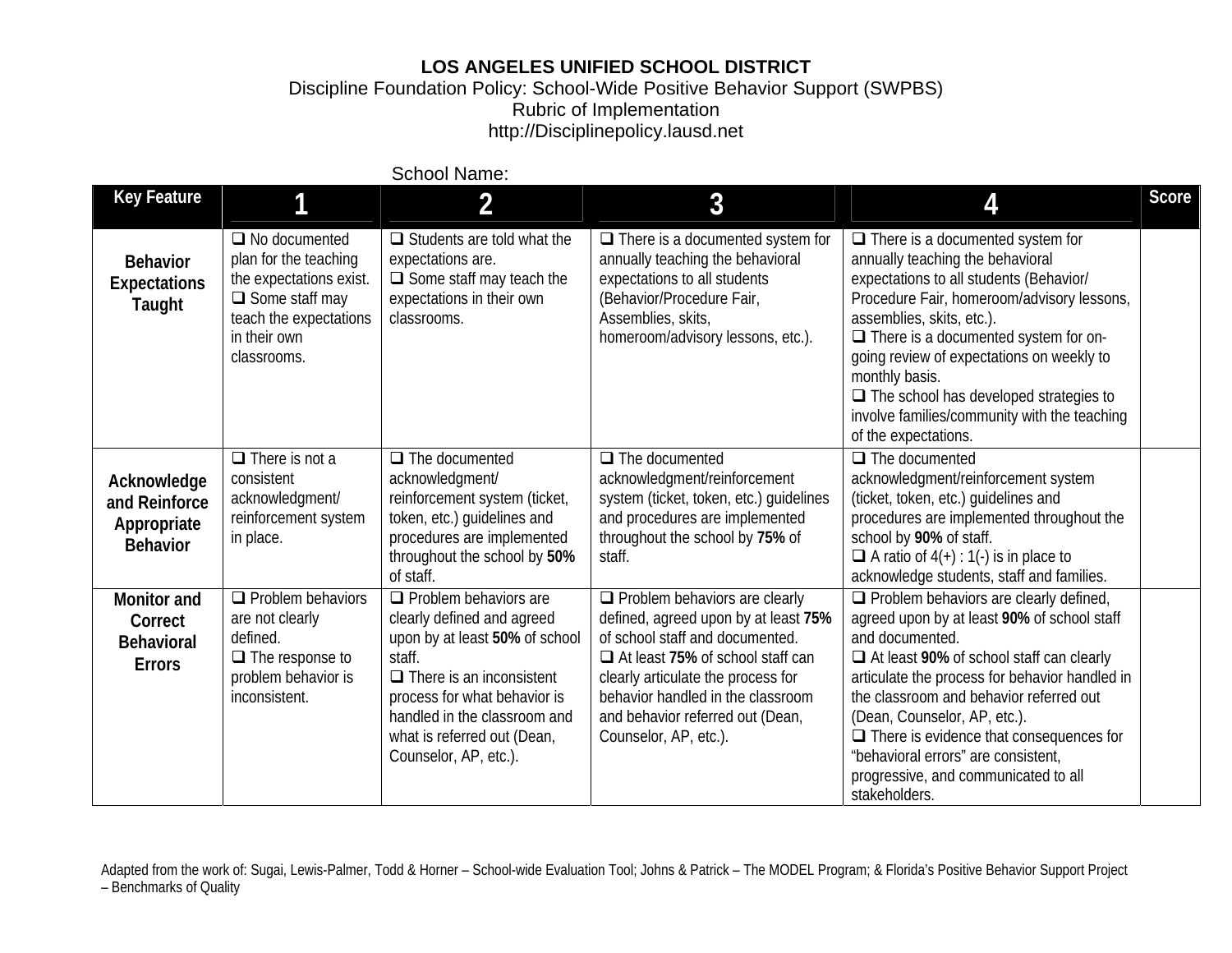## **LOS ANGELES UNIFIED SCHOOL DISTRICT**

Discipline Foundation Policy: School-Wide Positive Behavior Support (SWPBS) Rubric of Implementation http://Disciplinepolicy.lausd.net

| <b>Key Feature</b>                                                  |                                                                                                                                                            | <b>School Name:</b>                                                                                                                                                                                                                                               |                                                                                                                                                                                                                                                                                               |                                                                                                                                                                                                                                                                                                                                                                                                                                              | <b>Score</b> |
|---------------------------------------------------------------------|------------------------------------------------------------------------------------------------------------------------------------------------------------|-------------------------------------------------------------------------------------------------------------------------------------------------------------------------------------------------------------------------------------------------------------------|-----------------------------------------------------------------------------------------------------------------------------------------------------------------------------------------------------------------------------------------------------------------------------------------------|----------------------------------------------------------------------------------------------------------------------------------------------------------------------------------------------------------------------------------------------------------------------------------------------------------------------------------------------------------------------------------------------------------------------------------------------|--------------|
|                                                                     |                                                                                                                                                            | 2                                                                                                                                                                                                                                                                 | 3                                                                                                                                                                                                                                                                                             | 4                                                                                                                                                                                                                                                                                                                                                                                                                                            |              |
| <b>Behavior</b><br><b>Expectations</b><br>Taught                    | $\Box$ No documented<br>plan for the teaching<br>the expectations exist.<br>$\Box$ Some staff may<br>teach the expectations<br>in their own<br>classrooms. | $\Box$ Students are told what the<br>expectations are.<br>$\Box$ Some staff may teach the<br>expectations in their own<br>classrooms.                                                                                                                             | $\Box$ There is a documented system for<br>annually teaching the behavioral<br>expectations to all students<br>(Behavior/Procedure Fair,<br>Assemblies, skits,<br>homeroom/advisory lessons, etc.).                                                                                           | $\Box$ There is a documented system for<br>annually teaching the behavioral<br>expectations to all students (Behavior/<br>Procedure Fair, homeroom/advisory lessons,<br>assemblies, skits, etc.).<br>$\Box$ There is a documented system for on-<br>going review of expectations on weekly to<br>monthly basis.<br>$\Box$ The school has developed strategies to<br>involve families/community with the teaching<br>of the expectations.     |              |
| Acknowledge<br>and Reinforce<br>Appropriate<br><b>Behavior</b>      | $\Box$ There is not a<br>consistent<br>acknowledgment/<br>reinforcement system<br>in place.                                                                | $\Box$ The documented<br>acknowledgment/<br>reinforcement system (ticket,<br>token, etc.) guidelines and<br>procedures are implemented<br>throughout the school by 50%<br>of staff.                                                                               | $\Box$ The documented<br>acknowledgment/reinforcement<br>system (ticket, token, etc.) guidelines<br>and procedures are implemented<br>throughout the school by 75% of<br>staff.                                                                                                               | $\Box$ The documented<br>acknowledgment/reinforcement system<br>(ticket, token, etc.) guidelines and<br>procedures are implemented throughout the<br>school by 90% of staff.<br>$\Box$ A ratio of 4(+) : 1(-) is in place to<br>acknowledge students, staff and families.                                                                                                                                                                    |              |
| <b>Monitor and</b><br>Correct<br><b>Behavioral</b><br><b>Errors</b> | $\Box$ Problem behaviors<br>are not clearly<br>defined.<br>$\Box$ The response to<br>problem behavior is<br>inconsistent.                                  | $\Box$ Problem behaviors are<br>clearly defined and agreed<br>upon by at least 50% of school<br>staff.<br>$\Box$ There is an inconsistent<br>process for what behavior is<br>handled in the classroom and<br>what is referred out (Dean,<br>Counselor, AP, etc.). | $\Box$ Problem behaviors are clearly<br>defined, agreed upon by at least 75%<br>of school staff and documented.<br>□ At least 75% of school staff can<br>clearly articulate the process for<br>behavior handled in the classroom<br>and behavior referred out (Dean,<br>Counselor, AP, etc.). | $\Box$ Problem behaviors are clearly defined,<br>agreed upon by at least 90% of school staff<br>and documented.<br>□ At least 90% of school staff can clearly<br>articulate the process for behavior handled in<br>the classroom and behavior referred out<br>(Dean, Counselor, AP, etc.).<br>$\Box$ There is evidence that consequences for<br>"behavioral errors" are consistent,<br>progressive, and communicated to all<br>stakeholders. |              |

Adapted from the work of: Sugai, Lewis-Palmer, Todd & Horner - School-wide Evaluation Tool; Johns & Patrick - The MODEL Program; & Florida's Positive Behavior Support Project – Benchmarks of Quality